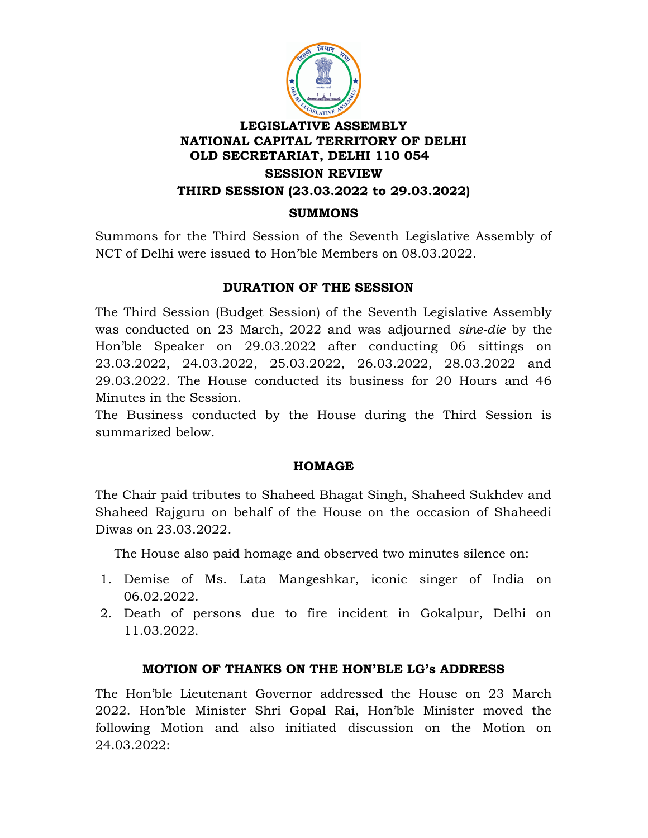

Summons for the Third Session of the Seventh Legislative Assembly of NCT of Delhi were issued to Hon'ble Members on 08.03.2022.

## DURATION OF THE SESSION

The Third Session (Budget Session) of the Seventh Legislative Assembly was conducted on 23 March, 2022 and was adjourned sine-die by the Hon'ble Speaker on 29.03.2022 after conducting 06 sittings on 23.03.2022, 24.03.2022, 25.03.2022, 26.03.2022, 28.03.2022 and 29.03.2022. The House conducted its business for 20 Hours and 46 Minutes in the Session.

The Business conducted by the House during the Third Session is summarized below.

#### HOMAGE

The Chair paid tributes to Shaheed Bhagat Singh, Shaheed Sukhdev and Shaheed Rajguru on behalf of the House on the occasion of Shaheedi Diwas on 23.03.2022.

The House also paid homage and observed two minutes silence on:

- 1. Demise of Ms. Lata Mangeshkar, iconic singer of India on 06.02.2022.
- 2. Death of persons due to fire incident in Gokalpur, Delhi on 11.03.2022.

# MOTION OF THANKS ON THE HON'BLE LG's ADDRESS

The Hon'ble Lieutenant Governor addressed the House on 23 March 2022. Hon'ble Minister Shri Gopal Rai, Hon'ble Minister moved the following Motion and also initiated discussion on the Motion on 24.03.2022: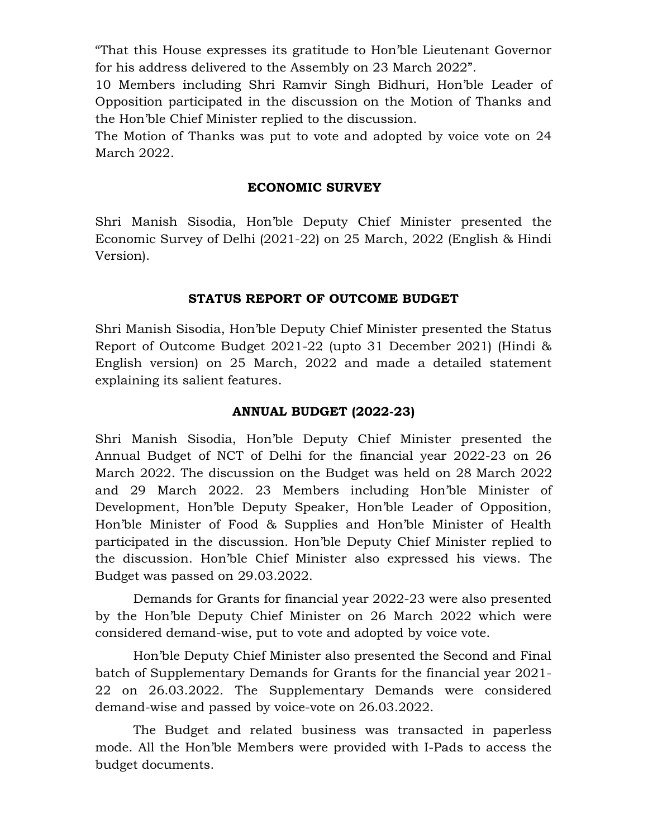"That this House expresses its gratitude to Hon'ble Lieutenant Governor for his address delivered to the Assembly on 23 March 2022".

10 Members including Shri Ramvir Singh Bidhuri, Hon'ble Leader of Opposition participated in the discussion on the Motion of Thanks and the Hon'ble Chief Minister replied to the discussion.

The Motion of Thanks was put to vote and adopted by voice vote on 24 March 2022.

#### ECONOMIC SURVEY

Shri Manish Sisodia, Hon'ble Deputy Chief Minister presented the Economic Survey of Delhi (2021-22) on 25 March, 2022 (English & Hindi Version).

## STATUS REPORT OF OUTCOME BUDGET

Shri Manish Sisodia, Hon'ble Deputy Chief Minister presented the Status Report of Outcome Budget 2021-22 (upto 31 December 2021) (Hindi & English version) on 25 March, 2022 and made a detailed statement explaining its salient features.

## ANNUAL BUDGET (2022-23)

Shri Manish Sisodia, Hon'ble Deputy Chief Minister presented the Annual Budget of NCT of Delhi for the financial year 2022-23 on 26 March 2022. The discussion on the Budget was held on 28 March 2022 and 29 March 2022. 23 Members including Hon'ble Minister of Development, Hon'ble Deputy Speaker, Hon'ble Leader of Opposition, Hon'ble Minister of Food & Supplies and Hon'ble Minister of Health participated in the discussion. Hon'ble Deputy Chief Minister replied to the discussion. Hon'ble Chief Minister also expressed his views. The Budget was passed on 29.03.2022.

 Demands for Grants for financial year 2022-23 were also presented by the Hon'ble Deputy Chief Minister on 26 March 2022 which were considered demand-wise, put to vote and adopted by voice vote.

Hon'ble Deputy Chief Minister also presented the Second and Final batch of Supplementary Demands for Grants for the financial year 2021- 22 on 26.03.2022. The Supplementary Demands were considered demand-wise and passed by voice-vote on 26.03.2022.

The Budget and related business was transacted in paperless mode. All the Hon'ble Members were provided with I-Pads to access the budget documents.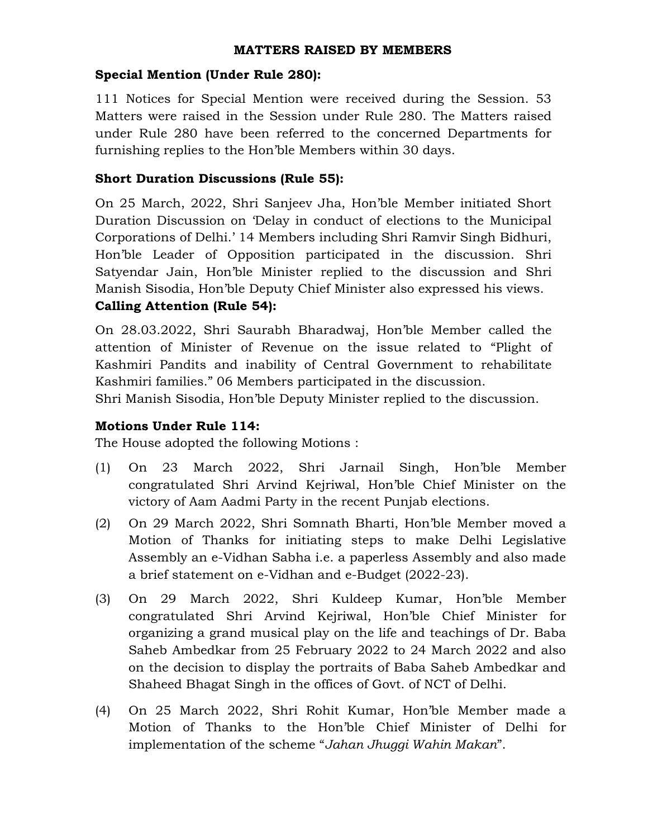#### MATTERS RAISED BY MEMBERS

#### Special Mention (Under Rule 280):

111 Notices for Special Mention were received during the Session. 53 Matters were raised in the Session under Rule 280. The Matters raised under Rule 280 have been referred to the concerned Departments for furnishing replies to the Hon'ble Members within 30 days.

## Short Duration Discussions (Rule 55):

On 25 March, 2022, Shri Sanjeev Jha, Hon'ble Member initiated Short Duration Discussion on 'Delay in conduct of elections to the Municipal Corporations of Delhi.' 14 Members including Shri Ramvir Singh Bidhuri, Hon'ble Leader of Opposition participated in the discussion. Shri Satyendar Jain, Hon'ble Minister replied to the discussion and Shri Manish Sisodia, Hon'ble Deputy Chief Minister also expressed his views.

## Calling Attention (Rule 54):

On 28.03.2022, Shri Saurabh Bharadwaj, Hon'ble Member called the attention of Minister of Revenue on the issue related to "Plight of Kashmiri Pandits and inability of Central Government to rehabilitate Kashmiri families." 06 Members participated in the discussion.

Shri Manish Sisodia, Hon'ble Deputy Minister replied to the discussion.

# Motions Under Rule 114:

The House adopted the following Motions :

- (1) On 23 March 2022, Shri Jarnail Singh, Hon'ble Member congratulated Shri Arvind Kejriwal, Hon'ble Chief Minister on the victory of Aam Aadmi Party in the recent Punjab elections.
- (2) On 29 March 2022, Shri Somnath Bharti, Hon'ble Member moved a Motion of Thanks for initiating steps to make Delhi Legislative Assembly an e-Vidhan Sabha i.e. a paperless Assembly and also made a brief statement on e-Vidhan and e-Budget (2022-23).
- (3) On 29 March 2022, Shri Kuldeep Kumar, Hon'ble Member congratulated Shri Arvind Kejriwal, Hon'ble Chief Minister for organizing a grand musical play on the life and teachings of Dr. Baba Saheb Ambedkar from 25 February 2022 to 24 March 2022 and also on the decision to display the portraits of Baba Saheb Ambedkar and Shaheed Bhagat Singh in the offices of Govt. of NCT of Delhi.
- (4) On 25 March 2022, Shri Rohit Kumar, Hon'ble Member made a Motion of Thanks to the Hon'ble Chief Minister of Delhi for implementation of the scheme "Jahan Jhuggi Wahin Makan".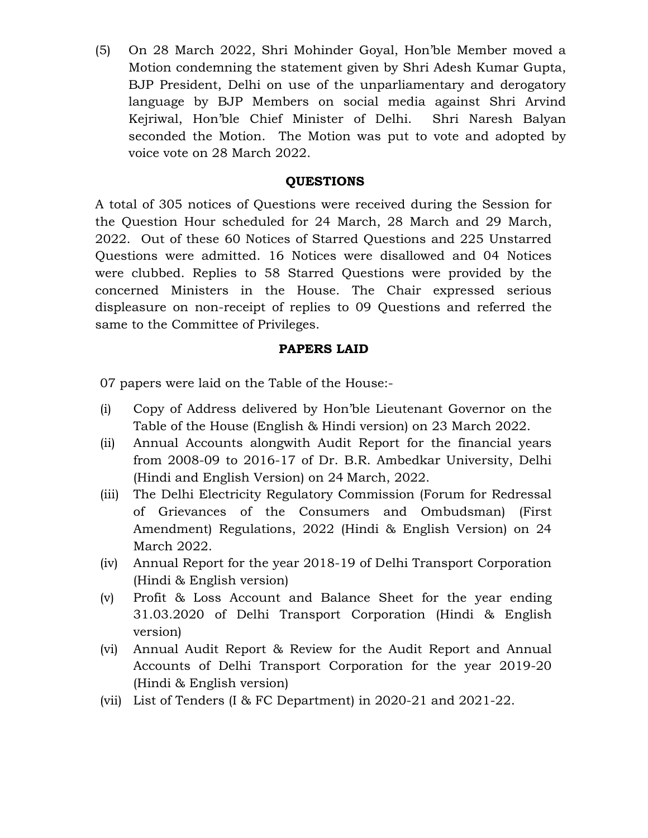(5) On 28 March 2022, Shri Mohinder Goyal, Hon'ble Member moved a Motion condemning the statement given by Shri Adesh Kumar Gupta, BJP President, Delhi on use of the unparliamentary and derogatory language by BJP Members on social media against Shri Arvind Kejriwal, Hon'ble Chief Minister of Delhi. Shri Naresh Balyan seconded the Motion. The Motion was put to vote and adopted by voice vote on 28 March 2022.

#### **OUESTIONS**

A total of 305 notices of Questions were received during the Session for the Question Hour scheduled for 24 March, 28 March and 29 March, 2022. Out of these 60 Notices of Starred Questions and 225 Unstarred Questions were admitted. 16 Notices were disallowed and 04 Notices were clubbed. Replies to 58 Starred Questions were provided by the concerned Ministers in the House. The Chair expressed serious displeasure on non-receipt of replies to 09 Questions and referred the same to the Committee of Privileges.

#### PAPERS LAID

07 papers were laid on the Table of the House:-

- (i) Copy of Address delivered by Hon'ble Lieutenant Governor on the Table of the House (English & Hindi version) on 23 March 2022.
- (ii) Annual Accounts alongwith Audit Report for the financial years from 2008-09 to 2016-17 of Dr. B.R. Ambedkar University, Delhi (Hindi and English Version) on 24 March, 2022.
- (iii) The Delhi Electricity Regulatory Commission (Forum for Redressal of Grievances of the Consumers and Ombudsman) (First Amendment) Regulations, 2022 (Hindi & English Version) on 24 March 2022.
- (iv) Annual Report for the year 2018-19 of Delhi Transport Corporation (Hindi & English version)
- (v) Profit & Loss Account and Balance Sheet for the year ending 31.03.2020 of Delhi Transport Corporation (Hindi & English version)
- (vi) Annual Audit Report & Review for the Audit Report and Annual Accounts of Delhi Transport Corporation for the year 2019-20 (Hindi & English version)
- (vii) List of Tenders (I & FC Department) in 2020-21 and 2021-22.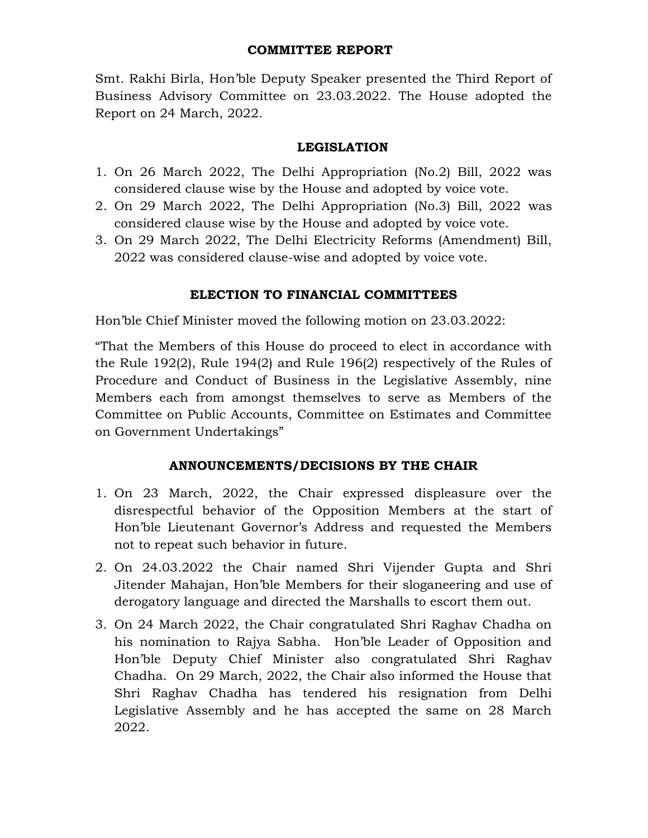#### COMMITTEE REPORT

Smt. Rakhi Birla, Hon'ble Deputy Speaker presented the Third Report of Business Advisory Committee on 23.03.2022. The House adopted the Report on 24 March, 2022.

## LEGISLATION

- 1. On 26 March 2022, The Delhi Appropriation (No.2) Bill, 2022 was considered clause wise by the House and adopted by voice vote.
- 2. On 29 March 2022, The Delhi Appropriation (No.3) Bill, 2022 was considered clause wise by the House and adopted by voice vote.
- 3. On 29 March 2022, The Delhi Electricity Reforms (Amendment) Bill, 2022 was considered clause-wise and adopted by voice vote.

## ELECTION TO FINANCIAL COMMITTEES

Hon'ble Chief Minister moved the following motion on 23.03.2022:

"That the Members of this House do proceed to elect in accordance with the Rule 192(2), Rule 194(2) and Rule 196(2) respectively of the Rules of Procedure and Conduct of Business in the Legislative Assembly, nine Members each from amongst themselves to serve as Members of the Committee on Public Accounts, Committee on Estimates and Committee on Government Undertakings"

# ANNOUNCEMENTS/DECISIONS BY THE CHAIR

- 1. On 23 March, 2022, the Chair expressed displeasure over the disrespectful behavior of the Opposition Members at the start of Hon'ble Lieutenant Governor's Address and requested the Members not to repeat such behavior in future.
- 2. On 24.03.2022 the Chair named Shri Vijender Gupta and Shri Jitender Mahajan, Hon'ble Members for their sloganeering and use of derogatory language and directed the Marshalls to escort them out.
- 3. On 24 March 2022, the Chair congratulated Shri Raghav Chadha on his nomination to Rajya Sabha. Hon'ble Leader of Opposition and Hon'ble Deputy Chief Minister also congratulated Shri Raghav Chadha. On 29 March, 2022, the Chair also informed the House that Shri Raghav Chadha has tendered his resignation from Delhi Legislative Assembly and he has accepted the same on 28 March 2022.